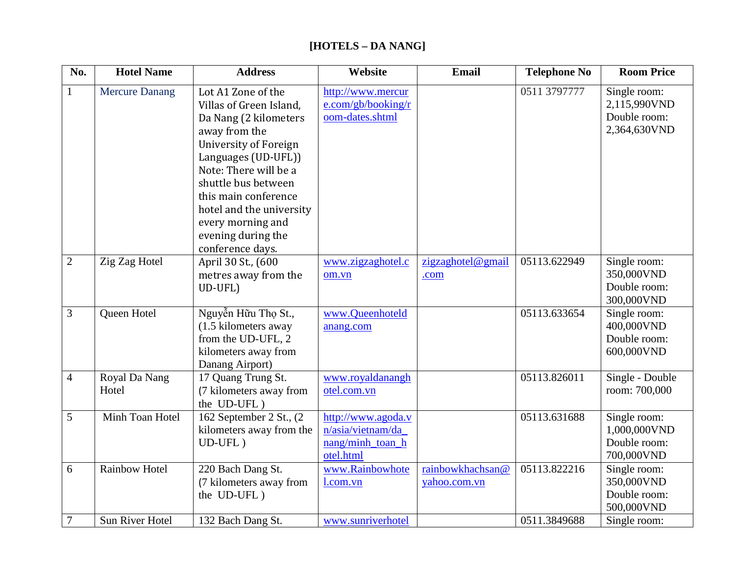## **[HOTELS – DA NANG]**

| No.            | <b>Hotel Name</b>      | <b>Address</b>                                                                                                                                                                                                                                                                                                    | Website                                                                  | <b>Email</b>                     | <b>Telephone No</b> | <b>Room Price</b>                                            |
|----------------|------------------------|-------------------------------------------------------------------------------------------------------------------------------------------------------------------------------------------------------------------------------------------------------------------------------------------------------------------|--------------------------------------------------------------------------|----------------------------------|---------------------|--------------------------------------------------------------|
| $\mathbf{1}$   | <b>Mercure Danang</b>  | Lot A1 Zone of the<br>Villas of Green Island,<br>Da Nang (2 kilometers<br>away from the<br><b>University of Foreign</b><br>Languages (UD-UFL))<br>Note: There will be a<br>shuttle bus between<br>this main conference<br>hotel and the university<br>every morning and<br>evening during the<br>conference days. | http://www.mercur<br>e.com/gb/booking/r<br>oom-dates.shtml               |                                  | 0511 3797777        | Single room:<br>2,115,990VND<br>Double room:<br>2,364,630VND |
| $\overline{2}$ | Zig Zag Hotel          | April 30 St., (600<br>metres away from the<br>UD-UFL)                                                                                                                                                                                                                                                             | www.zigzaghotel.c<br>om.vn                                               | zigzaghotel@gmail<br>.com        | 05113.622949        | Single room:<br>350,000VND<br>Double room:<br>300,000VND     |
| 3              | Queen Hotel            | Nguyễn Hữu Thọ St.,<br>(1.5 kilometers away<br>from the UD-UFL, 2<br>kilometers away from<br>Danang Airport)                                                                                                                                                                                                      | www.Queenhoteld<br>anang.com                                             |                                  | 05113.633654        | Single room:<br>400,000VND<br>Double room:<br>600,000VND     |
| $\overline{4}$ | Royal Da Nang<br>Hotel | 17 Quang Trung St.<br>(7 kilometers away from<br>the UD-UFL)                                                                                                                                                                                                                                                      | www.royaldanangh<br>otel.com.vn                                          |                                  | 05113.826011        | Single - Double<br>room: 700,000                             |
| 5              | Minh Toan Hotel        | 162 September 2 St., (2)<br>kilometers away from the<br>$UD-UFL)$                                                                                                                                                                                                                                                 | http://www.agoda.v<br>n/asia/vietnam/da<br>nang/minh toan h<br>otel.html |                                  | 05113.631688        | Single room:<br>1,000,000VND<br>Double room:<br>700,000VND   |
| 6              | <b>Rainbow Hotel</b>   | 220 Bach Dang St.<br>(7 kilometers away from<br>the UD-UFL)                                                                                                                                                                                                                                                       | www.Rainbowhote<br>l.com.vn                                              | rainbowkhachsan@<br>yahoo.com.vn | 05113.822216        | Single room:<br>350,000VND<br>Double room:<br>500,000VND     |
| $\overline{7}$ | Sun River Hotel        | 132 Bach Dang St.                                                                                                                                                                                                                                                                                                 | www.sunriverhotel                                                        |                                  | 0511.3849688        | Single room:                                                 |